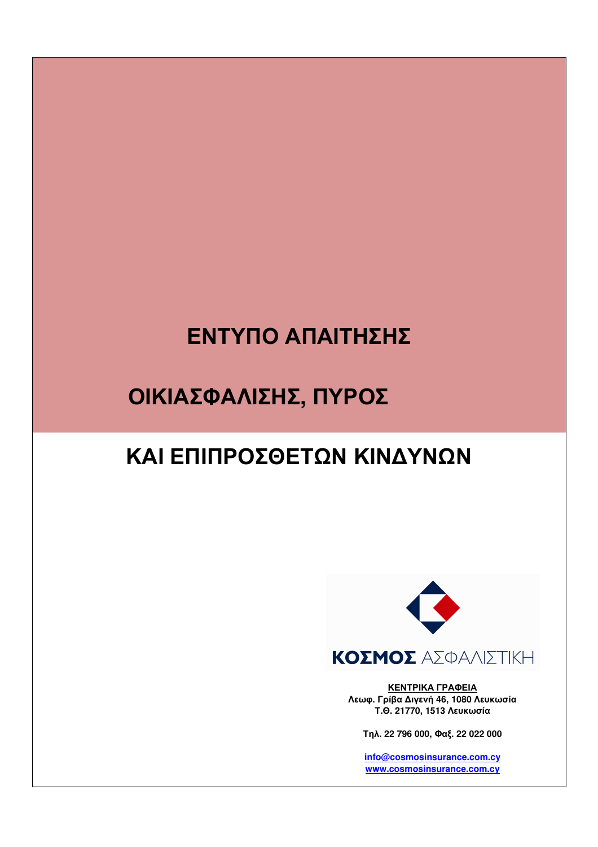# ΕΝΤΥΠΟ ΑΠΑΙΤΗΣΗΣ

## ΟΙΚΙΑΣΦΑΛΙΣΗΣ, ΠΥΡΟΣ

### ΚΑΙ ΕΠΙΠΡΟΣΘΕΤΩΝ ΚΙΝΔΥΝΩΝ



ΚΕΝΤΡΙΚΑ ΓΡΑΦΕΙΑ Λεωφ. Γρίβα Διγενή 46, 1080 Λευκωσία Τ.Θ. 21770, 1513 Λευκωσία

Τηλ. 22 796 000, Φαξ. 22 022 000

info@cosmosinsurance.com.cy www.cosmosinsurance.com.cy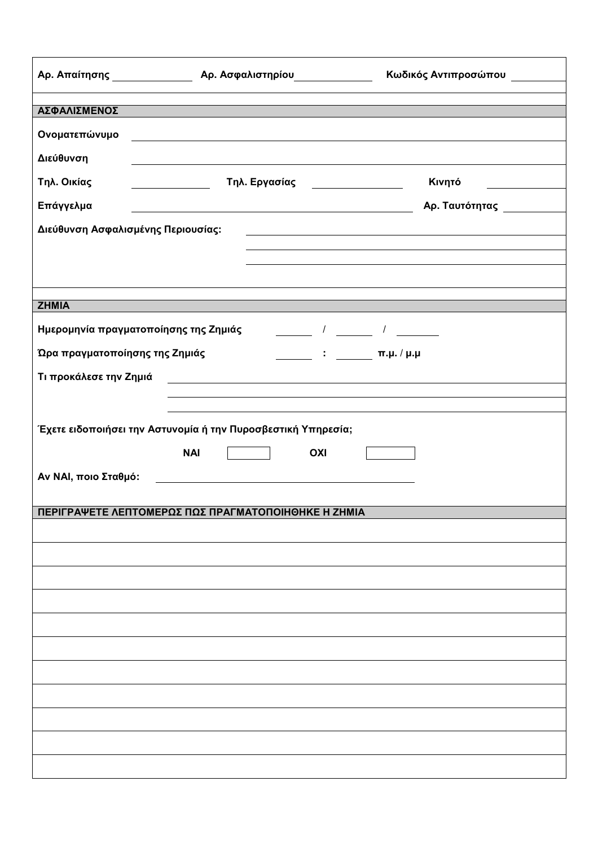|                                                                                                                                                            | Αρ. Απαίτησης <u>Δεραφοριαστημ</u> ό Αρ. Ασφαλιστηρίου | Κωδικός Αντιπροσώπου                                                                                                                                                                                                                                                                                                                                   |  |  |  |  |  |
|------------------------------------------------------------------------------------------------------------------------------------------------------------|--------------------------------------------------------|--------------------------------------------------------------------------------------------------------------------------------------------------------------------------------------------------------------------------------------------------------------------------------------------------------------------------------------------------------|--|--|--|--|--|
| ΑΣΦΑΛΙΣΜΕΝΟΣ                                                                                                                                               |                                                        |                                                                                                                                                                                                                                                                                                                                                        |  |  |  |  |  |
|                                                                                                                                                            |                                                        |                                                                                                                                                                                                                                                                                                                                                        |  |  |  |  |  |
| Ονοματεπώνυμο                                                                                                                                              |                                                        |                                                                                                                                                                                                                                                                                                                                                        |  |  |  |  |  |
| Διεύθυνση                                                                                                                                                  |                                                        |                                                                                                                                                                                                                                                                                                                                                        |  |  |  |  |  |
| Τηλ. Οικίας                                                                                                                                                | Τηλ. Εργασίας <u>________________</u>                  | Κινητό                                                                                                                                                                                                                                                                                                                                                 |  |  |  |  |  |
| Επάγγελμα                                                                                                                                                  |                                                        | Αρ. Ταυτότητας _________                                                                                                                                                                                                                                                                                                                               |  |  |  |  |  |
| Διεύθυνση Ασφαλισμένης Περιουσίας:<br><u> 1980 - Johann Barbara, martin amerikan basal dan berasal dalam basal dan berasal dalam basal dan berasal dan</u> |                                                        |                                                                                                                                                                                                                                                                                                                                                        |  |  |  |  |  |
|                                                                                                                                                            |                                                        |                                                                                                                                                                                                                                                                                                                                                        |  |  |  |  |  |
|                                                                                                                                                            |                                                        |                                                                                                                                                                                                                                                                                                                                                        |  |  |  |  |  |
|                                                                                                                                                            |                                                        |                                                                                                                                                                                                                                                                                                                                                        |  |  |  |  |  |
| <b>ZHMIA</b>                                                                                                                                               |                                                        |                                                                                                                                                                                                                                                                                                                                                        |  |  |  |  |  |
|                                                                                                                                                            | Ημερομηνία πραγματοποίησης της Ζημιάς                  | $\frac{1}{\sqrt{2}}$ , $\frac{1}{\sqrt{2}}$ , $\frac{1}{\sqrt{2}}$ , $\frac{1}{\sqrt{2}}$ , $\frac{1}{\sqrt{2}}$ , $\frac{1}{\sqrt{2}}$ , $\frac{1}{\sqrt{2}}$ , $\frac{1}{\sqrt{2}}$ , $\frac{1}{\sqrt{2}}$ , $\frac{1}{\sqrt{2}}$ , $\frac{1}{\sqrt{2}}$ , $\frac{1}{\sqrt{2}}$ , $\frac{1}{\sqrt{2}}$ , $\frac{1}{\sqrt{2}}$ , $\frac{1}{\sqrt{2}}$ |  |  |  |  |  |
| Ώρα πραγματοποίησης της Ζημιάς<br>$\pi$ , $\mu$ , $\mu$ , $\mu$ , $\mu$ , $\mu$ , $\mu$                                                                    |                                                        |                                                                                                                                                                                                                                                                                                                                                        |  |  |  |  |  |
| Τι προκάλεσε την Ζημιά                                                                                                                                     |                                                        |                                                                                                                                                                                                                                                                                                                                                        |  |  |  |  |  |
|                                                                                                                                                            |                                                        |                                                                                                                                                                                                                                                                                                                                                        |  |  |  |  |  |
|                                                                                                                                                            |                                                        |                                                                                                                                                                                                                                                                                                                                                        |  |  |  |  |  |
| Έχετε ειδοποιήσει την Αστυνομία ή την Πυροσβεστική Υπηρεσία;                                                                                               |                                                        |                                                                                                                                                                                                                                                                                                                                                        |  |  |  |  |  |
|                                                                                                                                                            | <b>NAI</b><br>OXI                                      |                                                                                                                                                                                                                                                                                                                                                        |  |  |  |  |  |
| Αν ΝΑΙ, ποιο Σταθμό:                                                                                                                                       |                                                        |                                                                                                                                                                                                                                                                                                                                                        |  |  |  |  |  |
|                                                                                                                                                            |                                                        |                                                                                                                                                                                                                                                                                                                                                        |  |  |  |  |  |
|                                                                                                                                                            | ΠΕΡΙΓΡΑΨΕΤΕ ΛΕΠΤΟΜΕΡΩΣ ΠΩΣ ΠΡΑΓΜΑΤΟΠΟΙΗΘΗΚΕ Η ΖΗΜΙΑ    |                                                                                                                                                                                                                                                                                                                                                        |  |  |  |  |  |
|                                                                                                                                                            |                                                        |                                                                                                                                                                                                                                                                                                                                                        |  |  |  |  |  |
|                                                                                                                                                            |                                                        |                                                                                                                                                                                                                                                                                                                                                        |  |  |  |  |  |
|                                                                                                                                                            |                                                        |                                                                                                                                                                                                                                                                                                                                                        |  |  |  |  |  |
|                                                                                                                                                            |                                                        |                                                                                                                                                                                                                                                                                                                                                        |  |  |  |  |  |
|                                                                                                                                                            |                                                        |                                                                                                                                                                                                                                                                                                                                                        |  |  |  |  |  |
|                                                                                                                                                            |                                                        |                                                                                                                                                                                                                                                                                                                                                        |  |  |  |  |  |
|                                                                                                                                                            |                                                        |                                                                                                                                                                                                                                                                                                                                                        |  |  |  |  |  |
|                                                                                                                                                            |                                                        |                                                                                                                                                                                                                                                                                                                                                        |  |  |  |  |  |
|                                                                                                                                                            |                                                        |                                                                                                                                                                                                                                                                                                                                                        |  |  |  |  |  |
|                                                                                                                                                            |                                                        |                                                                                                                                                                                                                                                                                                                                                        |  |  |  |  |  |
|                                                                                                                                                            |                                                        |                                                                                                                                                                                                                                                                                                                                                        |  |  |  |  |  |
|                                                                                                                                                            |                                                        |                                                                                                                                                                                                                                                                                                                                                        |  |  |  |  |  |
|                                                                                                                                                            |                                                        |                                                                                                                                                                                                                                                                                                                                                        |  |  |  |  |  |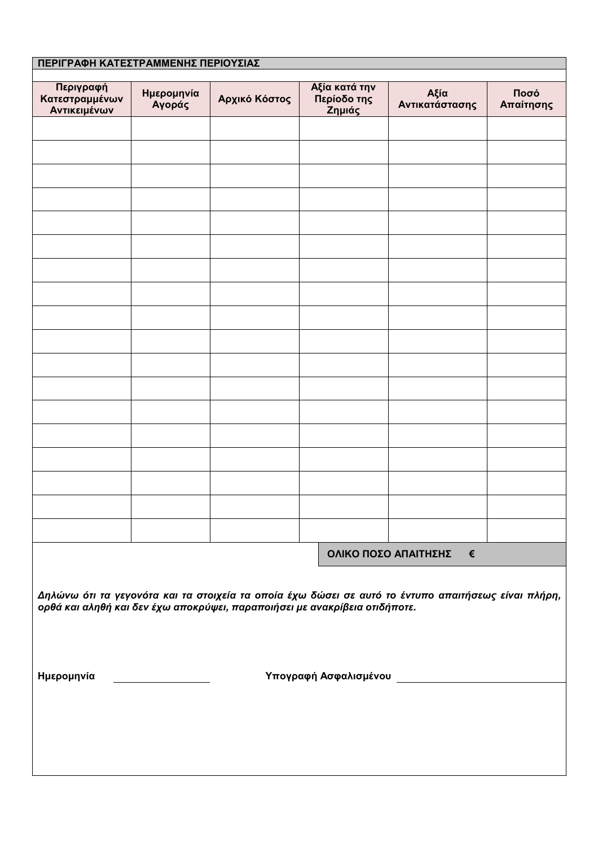| ΠΕΡΙΓΡΑΦΗ ΚΑΤΕΣΤΡΑΜΜΕΝΗΣ ΠΕΡΙΟΥΣΙΑΣ                                                                                                                                               |                      |               |                                        |                        |                   |  |  |
|-----------------------------------------------------------------------------------------------------------------------------------------------------------------------------------|----------------------|---------------|----------------------------------------|------------------------|-------------------|--|--|
| Περιγραφή<br>Κατεστραμμένων<br>Αντικειμένων                                                                                                                                       | Ημερομηνία<br>Αγοράς | Αρχικό Κόστος | Αξία κατά την<br>Περίοδο της<br>Ζημιάς | Αξία<br>Αντικατάστασης | Ποσό<br>Απαίτησης |  |  |
|                                                                                                                                                                                   |                      |               |                                        |                        |                   |  |  |
|                                                                                                                                                                                   |                      |               |                                        |                        |                   |  |  |
|                                                                                                                                                                                   |                      |               |                                        |                        |                   |  |  |
|                                                                                                                                                                                   |                      |               |                                        |                        |                   |  |  |
|                                                                                                                                                                                   |                      |               |                                        |                        |                   |  |  |
|                                                                                                                                                                                   |                      |               |                                        |                        |                   |  |  |
|                                                                                                                                                                                   |                      |               |                                        |                        |                   |  |  |
|                                                                                                                                                                                   |                      |               |                                        |                        |                   |  |  |
|                                                                                                                                                                                   |                      |               |                                        |                        |                   |  |  |
|                                                                                                                                                                                   |                      |               |                                        |                        |                   |  |  |
|                                                                                                                                                                                   |                      |               |                                        |                        |                   |  |  |
|                                                                                                                                                                                   |                      |               |                                        |                        |                   |  |  |
|                                                                                                                                                                                   |                      |               |                                        |                        |                   |  |  |
|                                                                                                                                                                                   |                      |               |                                        |                        |                   |  |  |
|                                                                                                                                                                                   |                      |               |                                        |                        |                   |  |  |
|                                                                                                                                                                                   |                      |               |                                        |                        |                   |  |  |
|                                                                                                                                                                                   |                      |               |                                        |                        |                   |  |  |
| ΟΛΙΚΟ ΠΟΣΟ ΑΠΑΙΤΗΣΗΣ<br>€                                                                                                                                                         |                      |               |                                        |                        |                   |  |  |
| Δηλώνω ότι τα γεγονότα και τα στοιχεία τα οποία έχω δώσει σε αυτό το έντυπο απαιτήσεως είναι πλήρη,<br>ορθά και αληθή και δεν έχω αποκρύψει, παραποιήσει με ανακρίβεια οτιδήποτε. |                      |               |                                        |                        |                   |  |  |
| Υπογραφή Ασφαλισμένου ________________________<br>Ημερομηνία                                                                                                                      |                      |               |                                        |                        |                   |  |  |
|                                                                                                                                                                                   |                      |               |                                        |                        |                   |  |  |
|                                                                                                                                                                                   |                      |               |                                        |                        |                   |  |  |
|                                                                                                                                                                                   |                      |               |                                        |                        |                   |  |  |